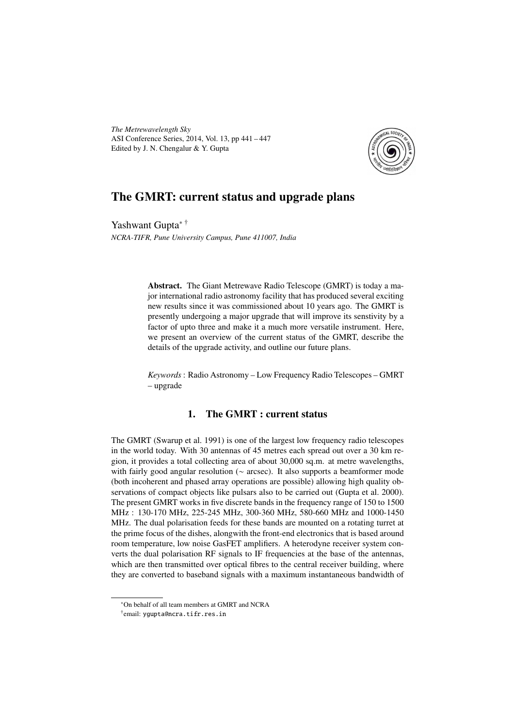*The Metrewavelength Sky* ASI Conference Series, 2014, Vol. 13, pp 441 – 447 Edited by J. N. Chengalur & Y. Gupta



# The GMRT: current status and upgrade plans

Yashwant Gupta∗ † *NCRA-TIFR, Pune University Campus, Pune 411007, India*

> Abstract. The Giant Metrewave Radio Telescope (GMRT) is today a major international radio astronomy facility that has produced several exciting new results since it was commissioned about 10 years ago. The GMRT is presently undergoing a major upgrade that will improve its senstivity by a factor of upto three and make it a much more versatile instrument. Here, we present an overview of the current status of the GMRT, describe the details of the upgrade activity, and outline our future plans.

> *Keywords* : Radio Astronomy – Low Frequency Radio Telescopes – GMRT – upgrade

## 1. The GMRT : current status

The GMRT (Swarup et al. 1991) is one of the largest low frequency radio telescopes in the world today. With 30 antennas of 45 metres each spread out over a 30 km region, it provides a total collecting area of about 30,000 sq.m. at metre wavelengths, with fairly good angular resolution (∼ arcsec). It also supports a beamformer mode (both incoherent and phased array operations are possible) allowing high quality observations of compact objects like pulsars also to be carried out (Gupta et al. 2000). The present GMRT works in five discrete bands in the frequency range of 150 to 1500 MHz : 130-170 MHz, 225-245 MHz, 300-360 MHz, 580-660 MHz and 1000-1450 MHz. The dual polarisation feeds for these bands are mounted on a rotating turret at the prime focus of the dishes, alongwith the front-end electronics that is based around room temperature, low noise GasFET amplifiers. A heterodyne receiver system converts the dual polarisation RF signals to IF frequencies at the base of the antennas, which are then transmitted over optical fibres to the central receiver building, where they are converted to baseband signals with a maximum instantaneous bandwidth of

<sup>∗</sup>On behalf of all team members at GMRT and NCRA

<sup>†</sup> email: ygupta@ncra.tifr.res.in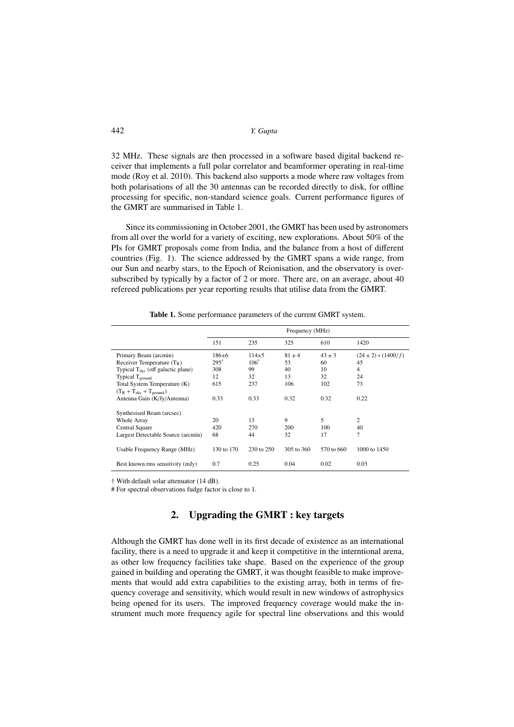442 *Y. Gupta*

32 MHz. These signals are then processed in a software based digital backend receiver that implements a full polar correlator and beamformer operating in real-time mode (Roy et al. 2010). This backend also supports a mode where raw voltages from both polarisations of all the 30 antennas can be recorded directly to disk, for offline processing for specific, non-standard science goals. Current performance figures of the GMRT are summarised in Table 1.

Since its commissioning in October 2001, the GMRT has been used by astronomers from all over the world for a variety of exciting, new explorations. About 50% of the PIs for GMRT proposals come from India, and the balance from a host of different countries (Fig. 1). The science addressed by the GMRT spans a wide range, from our Sun and nearby stars, to the Epoch of Reionisation, and the observatory is oversubscribed by typically by a factor of 2 or more. There are, on an average, about 40 refereed publications per year reporting results that utilise data from the GMRT.

|                                            | Frequency (MHz) |                 |            |            |                         |
|--------------------------------------------|-----------------|-----------------|------------|------------|-------------------------|
|                                            | 151             | 235             | 325        | 610        | 1420                    |
| Primary Beam (arcmin)                      | 186±6           | $114 + 5$       | $81 + 4$   | $43 + 3$   | $(24 \pm 2) * (1400/f)$ |
| Receiver Temperature $(T_R)$               | $295^{\dagger}$ | $106^{\dagger}$ | 53         | 60         | 45                      |
| Typical $T_{\rm sky}$ (off galactic plane) | 308             | 99              | 40         | 10         | $\overline{4}$          |
| Typical $T_{ground}$                       | 12              | 32              | 13         | 32         | 24                      |
| Total System Temperature (K)               | 615             | 237             | 106        | 102        | 73                      |
| $(T_R + T_{sky} + T_{ground})$             |                 |                 |            |            |                         |
| Antenna Gain (K/Jy/Antenna)                | 0.33            | 0.33            | 0.32       | 0.32       | 0.22                    |
| Synthesised Beam (arcsec)                  |                 |                 |            |            |                         |
| <b>Whole Array</b>                         | 20              | 13              | 9          | 5          | $\overline{c}$          |
| Central Square                             | 420             | 270             | 200        | 100        | 40                      |
| Largest Detectable Source (arcmin)         | 68              | 44              | 32         | 17         | 7                       |
| Usable Frequency Range (MHz)               | 130 to 170      | 230 to 250      | 305 to 360 | 570 to 660 | 1000 to 1450            |
| Best known rms sensitivity (mJy)           | 0.7             | 0.25            | 0.04       | 0.02       | 0.03                    |

Table 1. Some performance parameters of the current GMRT system.

† With default solar attenuator (14 dB).

# For spectral observations fudge factor is close to 1.

## 2. Upgrading the GMRT : key targets

Although the GMRT has done well in its first decade of existence as an international facility, there is a need to upgrade it and keep it competitive in the interntional arena, as other low frequency facilities take shape. Based on the experience of the group gained in building and operating the GMRT, it was thought feasible to make improvements that would add extra capabilities to the existing array, both in terms of frequency coverage and sensitivity, which would result in new windows of astrophysics being opened for its users. The improved frequency coverage would make the instrument much more frequency agile for spectral line observations and this would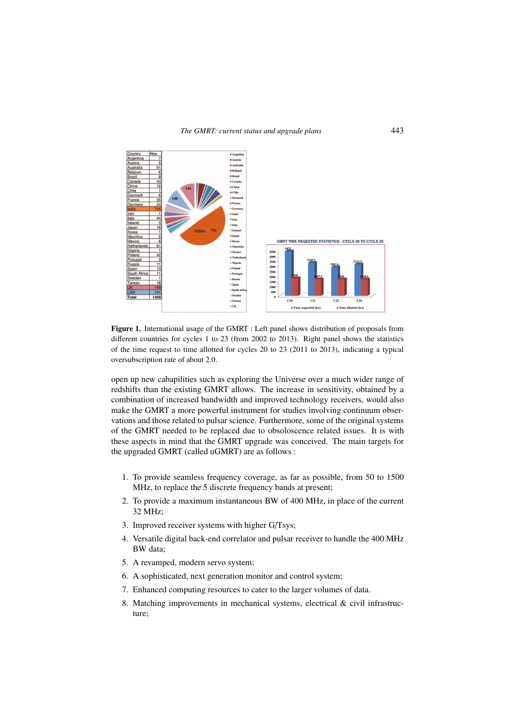

Figure 1. International usage of the GMRT : Left panel shows distribution of proposals from different countries for cycles 1 to 23 (from 2002 to 2013). Right panel shows the statistics of the time request to time allotted for cycles 20 to 23 (2011 to 2013), indicating a typical oversubscription rate of about 2.0.

open up new cabapilities such as exploring the Universe over a much wider range of redshifts than the existing GMRT allows. The increase in sensitivity, obtained by a combination of increased bandwidth and improved technology receivers, would also make the GMRT a more powerful instrument for studies involving continuum observations and those related to pulsar science. Furthermore, some of the original systems of the GMRT needed to be replaced due to obsoloscence related issues. It is with these aspects in mind that the GMRT upgrade was conceived. The main targets for the upgraded GMRT (called uGMRT) are as follows :

- 1. To provide seamless frequency coverage, as far as possible, from 50 to 1500 MHz, to replace the 5 discrete frequency bands at present;
- 2. To provide a maximum instantaneous BW of 400 MHz, in place of the current 32 MHz;
- 3. Improved receiver systems with higher G/Tsys;
- 4. Versatile digital back-end correlator and pulsar receiver to handle the 400 MHz BW data;
- 5. A revamped, modern servo system;
- 6. A sophisticated, next generation monitor and control system;
- 7. Enhanced computing resources to cater to the larger volumes of data.
- 8. Matching improvements in mechanical systems, electrical & civil infrastructure;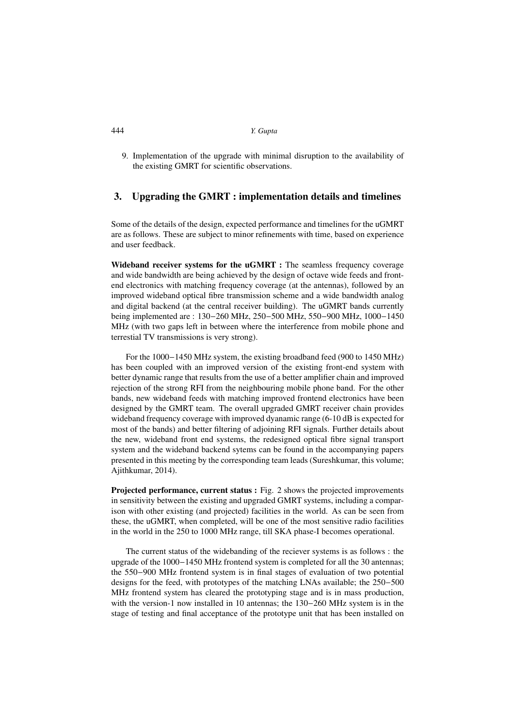### 444 *Y. Gupta*

9. Implementation of the upgrade with minimal disruption to the availability of the existing GMRT for scientific observations.

## 3. Upgrading the GMRT : implementation details and timelines

Some of the details of the design, expected performance and timelines for the uGMRT are as follows. These are subject to minor refinements with time, based on experience and user feedback.

Wideband receiver systems for the uGMRT : The seamless frequency coverage and wide bandwidth are being achieved by the design of octave wide feeds and frontend electronics with matching frequency coverage (at the antennas), followed by an improved wideband optical fibre transmission scheme and a wide bandwidth analog and digital backend (at the central receiver building). The uGMRT bands currently being implemented are : 130−260 MHz, 250−500 MHz, 550−900 MHz, 1000−1450 MHz (with two gaps left in between where the interference from mobile phone and terrestial TV transmissions is very strong).

For the 1000−1450 MHz system, the existing broadband feed (900 to 1450 MHz) has been coupled with an improved version of the existing front-end system with better dynamic range that results from the use of a better amplifier chain and improved rejection of the strong RFI from the neighbouring mobile phone band. For the other bands, new wideband feeds with matching improved frontend electronics have been designed by the GMRT team. The overall upgraded GMRT receiver chain provides wideband frequency coverage with improved dyanamic range (6-10 dB is expected for most of the bands) and better filtering of adjoining RFI signals. Further details about the new, wideband front end systems, the redesigned optical fibre signal transport system and the wideband backend sytems can be found in the accompanying papers presented in this meeting by the corresponding team leads (Sureshkumar, this volume; Ajithkumar, 2014).

Projected performance, current status : Fig. 2 shows the projected improvements in sensitivity between the existing and upgraded GMRT systems, including a comparison with other existing (and projected) facilities in the world. As can be seen from these, the uGMRT, when completed, will be one of the most sensitive radio facilities in the world in the 250 to 1000 MHz range, till SKA phase-I becomes operational.

The current status of the widebanding of the reciever systems is as follows : the upgrade of the 1000−1450 MHz frontend system is completed for all the 30 antennas; the 550−900 MHz frontend system is in final stages of evaluation of two potential designs for the feed, with prototypes of the matching LNAs available; the 250−500 MHz frontend system has cleared the prototyping stage and is in mass production, with the version-1 now installed in 10 antennas; the 130−260 MHz system is in the stage of testing and final acceptance of the prototype unit that has been installed on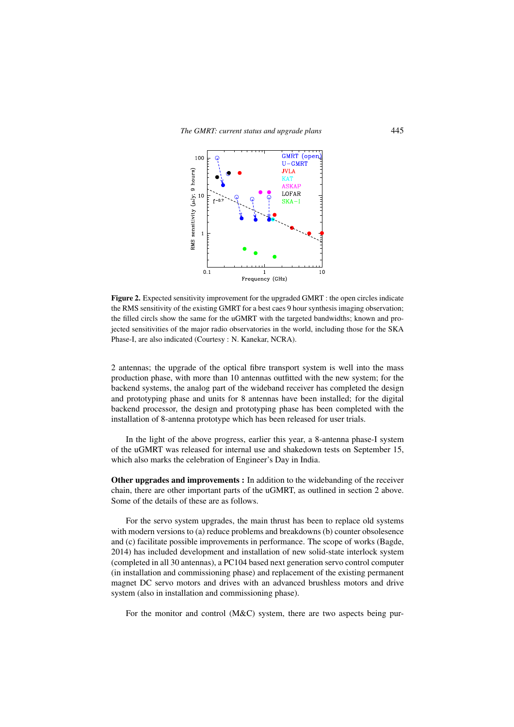

Figure 2. Expected sensitivity improvement for the upgraded GMRT : the open circles indicate the RMS sensitivity of the existing GMRT for a best caes 9 hour synthesis imaging observation; the filled circls show the same for the uGMRT with the targeted bandwidths; known and projected sensitivities of the major radio observatories in the world, including those for the SKA Phase-I, are also indicated (Courtesy : N. Kanekar, NCRA).

2 antennas; the upgrade of the optical fibre transport system is well into the mass production phase, with more than 10 antennas outfitted with the new system; for the backend systems, the analog part of the wideband receiver has completed the design and prototyping phase and units for 8 antennas have been installed; for the digital backend processor, the design and prototyping phase has been completed with the installation of 8-antenna prototype which has been released for user trials.

In the light of the above progress, earlier this year, a 8-antenna phase-I system of the uGMRT was released for internal use and shakedown tests on September 15, which also marks the celebration of Engineer's Day in India.

Other upgrades and improvements : In addition to the widebanding of the receiver chain, there are other important parts of the uGMRT, as outlined in section 2 above. Some of the details of these are as follows.

For the servo system upgrades, the main thrust has been to replace old systems with modern versions to (a) reduce problems and breakdowns (b) counter obsolesence and (c) facilitate possible improvements in performance. The scope of works (Bagde, 2014) has included development and installation of new solid-state interlock system (completed in all 30 antennas), a PC104 based next generation servo control computer (in installation and commissioning phase) and replacement of the existing permanent magnet DC servo motors and drives with an advanced brushless motors and drive system (also in installation and commissioning phase).

For the monitor and control (M&C) system, there are two aspects being pur-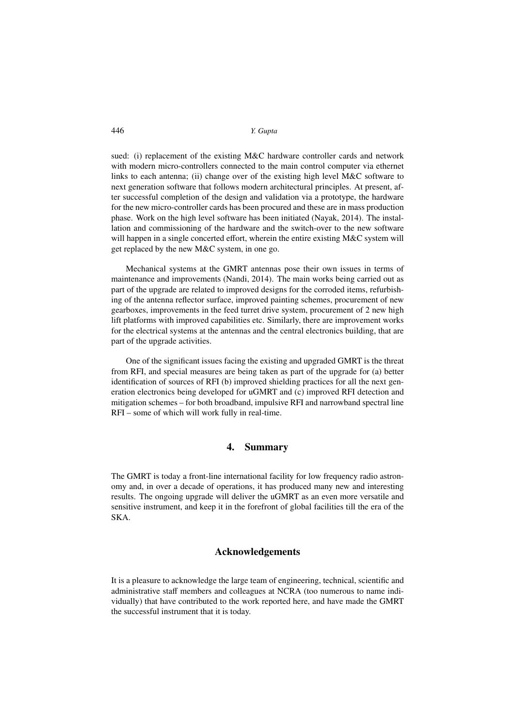446 *Y. Gupta*

sued: (i) replacement of the existing M&C hardware controller cards and network with modern micro-controllers connected to the main control computer via ethernet links to each antenna; (ii) change over of the existing high level M&C software to next generation software that follows modern architectural principles. At present, after successful completion of the design and validation via a prototype, the hardware for the new micro-controller cards has been procured and these are in mass production phase. Work on the high level software has been initiated (Nayak, 2014). The installation and commissioning of the hardware and the switch-over to the new software will happen in a single concerted effort, wherein the entire existing M&C system will get replaced by the new M&C system, in one go.

Mechanical systems at the GMRT antennas pose their own issues in terms of maintenance and improvements (Nandi, 2014). The main works being carried out as part of the upgrade are related to improved designs for the corroded items, refurbishing of the antenna reflector surface, improved painting schemes, procurement of new gearboxes, improvements in the feed turret drive system, procurement of 2 new high lift platforms with improved capabilities etc. Similarly, there are improvement works for the electrical systems at the antennas and the central electronics building, that are part of the upgrade activities.

One of the significant issues facing the existing and upgraded GMRT is the threat from RFI, and special measures are being taken as part of the upgrade for (a) better identification of sources of RFI (b) improved shielding practices for all the next generation electronics being developed for uGMRT and (c) improved RFI detection and mitigation schemes – for both broadband, impulsive RFI and narrowband spectral line RFI – some of which will work fully in real-time.

### 4. Summary

The GMRT is today a front-line international facility for low frequency radio astronomy and, in over a decade of operations, it has produced many new and interesting results. The ongoing upgrade will deliver the uGMRT as an even more versatile and sensitive instrument, and keep it in the forefront of global facilities till the era of the SKA.

#### Acknowledgements

It is a pleasure to acknowledge the large team of engineering, technical, scientific and administrative staff members and colleagues at NCRA (too numerous to name individually) that have contributed to the work reported here, and have made the GMRT the successful instrument that it is today.